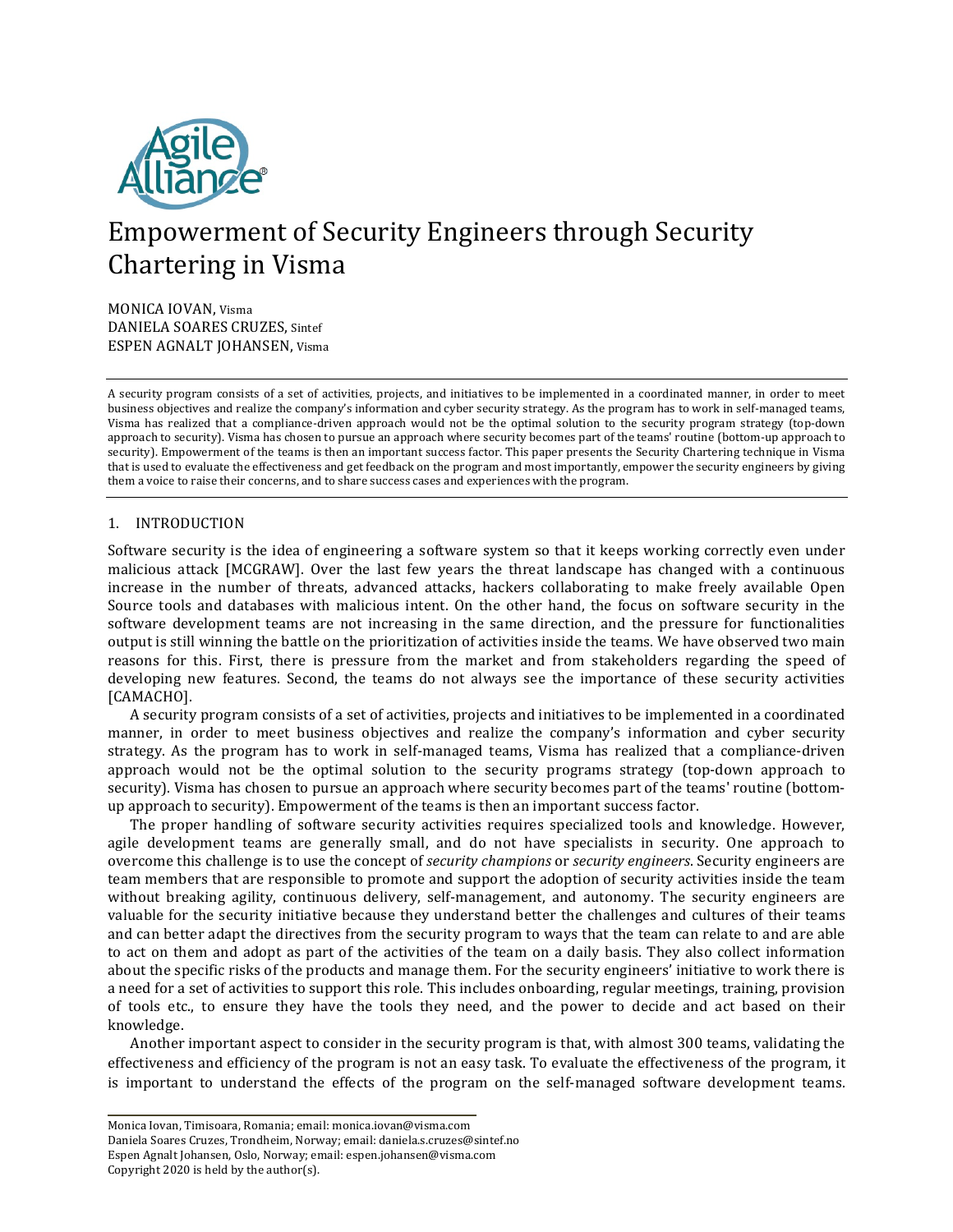

# Empowerment of Security Engineers through Security Chartering in Visma

MONICA IOVAN, Visma DANIELA SOARES CRUZES, Sintef ESPEN AGNALT JOHANSEN, Visma

A security program consists of a set of activities, projects, and initiatives to be implemented in a coordinated manner, in order to meet business objectives and realize the company's information and cyber security strategy. As the program has to work in self-managed teams, Visma has realized that a compliance-driven approach would not be the optimal solution to the security program strategy (top-down approach to security). Visma has chosen to pursue an approach where security becomes part of the teams' routine (bottom-up approach to security). Empowerment of the teams is then an important success factor. This paper presents the Security Chartering technique in Visma that is used to evaluate the effectiveness and get feedback on the program and most importantly, empower the security engineers by giving them a voice to raise their concerns, and to share success cases and experiences with the program.

# 1. INTRODUCTION

Software security is the idea of engineering a software system so that it keeps working correctly even under malicious attack [MCGRAW]. Over the last few years the threat landscape has changed with a continuous increase in the number of threats, advanced attacks, hackers collaborating to make freely available Open Source tools and databases with malicious intent. On the other hand, the focus on software security in the software development teams are not increasing in the same direction, and the pressure for functionalities output is still winning the battle on the prioritization of activities inside the teams. We have observed two main reasons for this. First, there is pressure from the market and from stakeholders regarding the speed of developing new features. Second, the teams do not always see the importance of these security activities [CAMACHO].

A security program consists of a set of activities, projects and initiatives to be implemented in a coordinated manner, in order to meet business objectives and realize the company's information and cyber security strategy. As the program has to work in self-managed teams, Visma has realized that a compliance-driven approach would not be the optimal solution to the security programs strategy (top-down approach to security). Visma has chosen to pursue an approach where security becomes part of the teams' routine (bottomup approach to security). Empowerment of the teams is then an important success factor.

The proper handling of software security activities requires specialized tools and knowledge. However, agile development teams are generally small, and do not have specialists in security. One approach to overcome this challenge is to use the concept of *security champions* or *security engineers*. Security engineers are team members that are responsible to promote and support the adoption of security activities inside the team without breaking agility, continuous delivery, self-management, and autonomy. The security engineers are valuable for the security initiative because they understand better the challenges and cultures of their teams and can better adapt the directives from the security program to ways that the team can relate to and are able to act on them and adopt as part of the activities of the team on a daily basis. They also collect information about the specific risks of the products and manage them. For the security engineers' initiative to work there is a need for a set of activities to support this role. This includes onboarding, regular meetings, training, provision of tools etc., to ensure they have the tools they need, and the power to decide and act based on their knowledge.

Another important aspect to consider in the security program is that, with almost 300 teams, validating the effectiveness and efficiency of the program is not an easy task. To evaluate the effectiveness of the program, it is important to understand the effects of the program on the self-managed software development teams.

Monica Iovan, Timisoara, Romania; email: monica.iovan@visma.com Daniela Soares Cruzes, Trondheim, Norway; email: daniela.s.cruzes@sintef.no Espen Agnalt Johansen, Oslo, Norway; email: espen.johansen@visma.com Copyright  $2020$  is held by the author(s).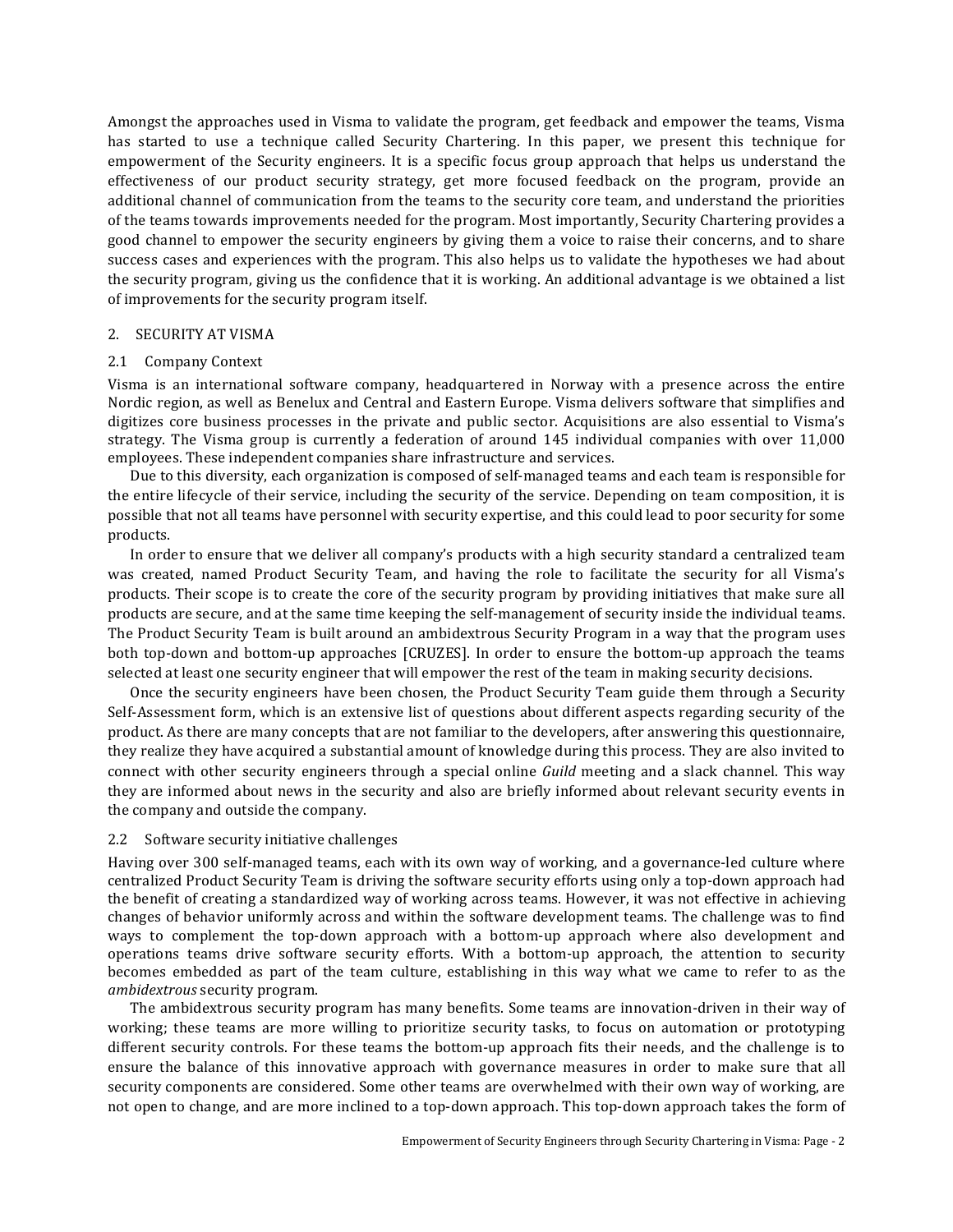Amongst the approaches used in Visma to validate the program, get feedback and empower the teams, Visma has started to use a technique called Security Chartering. In this paper, we present this technique for empowerment of the Security engineers. It is a specific focus group approach that helps us understand the effectiveness of our product security strategy, get more focused feedback on the program, provide an additional channel of communication from the teams to the security core team, and understand the priorities of the teams towards improvements needed for the program. Most importantly, Security Chartering provides a good channel to empower the security engineers by giving them a voice to raise their concerns, and to share success cases and experiences with the program. This also helps us to validate the hypotheses we had about the security program, giving us the confidence that it is working. An additional advantage is we obtained a list of improvements for the security program itself.

# 2. SECURITY AT VISMA

# 2.1 Company Context

Visma is an international software company, headquartered in Norway with a presence across the entire Nordic region, as well as Benelux and Central and Eastern Europe. Visma delivers software that simplifies and digitizes core business processes in the private and public sector. Acquisitions are also essential to Visma's strategy. The Visma group is currently a federation of around  $145$  individual companies with over  $11,000$ employees. These independent companies share infrastructure and services.

Due to this diversity, each organization is composed of self-managed teams and each team is responsible for the entire lifecycle of their service, including the security of the service. Depending on team composition, it is possible that not all teams have personnel with security expertise, and this could lead to poor security for some products.

In order to ensure that we deliver all company's products with a high security standard a centralized team was created, named Product Security Team, and having the role to facilitate the security for all Visma's products. Their scope is to create the core of the security program by providing initiatives that make sure all products are secure, and at the same time keeping the self-management of security inside the individual teams. The Product Security Team is built around an ambidextrous Security Program in a way that the program uses both top-down and bottom-up approaches [CRUZES]. In order to ensure the bottom-up approach the teams selected at least one security engineer that will empower the rest of the team in making security decisions.

Once the security engineers have been chosen, the Product Security Team guide them through a Security Self-Assessment form, which is an extensive list of questions about different aspects regarding security of the product. As there are many concepts that are not familiar to the developers, after answering this questionnaire, they realize they have acquired a substantial amount of knowledge during this process. They are also invited to connect with other security engineers through a special online *Guild* meeting and a slack channel. This way they are informed about news in the security and also are briefly informed about relevant security events in the company and outside the company.

# 2.2 Software security initiative challenges

Having over 300 self-managed teams, each with its own way of working, and a governance-led culture where centralized Product Security Team is driving the software security efforts using only a top-down approach had the benefit of creating a standardized way of working across teams. However, it was not effective in achieving changes of behavior uniformly across and within the software development teams. The challenge was to find ways to complement the top-down approach with a bottom-up approach where also development and operations teams drive software security efforts. With a bottom-up approach, the attention to security becomes embedded as part of the team culture, establishing in this way what we came to refer to as the *ambidextrous* security program.

The ambidextrous security program has many benefits. Some teams are innovation-driven in their way of working; these teams are more willing to prioritize security tasks, to focus on automation or prototyping different security controls. For these teams the bottom-up approach fits their needs, and the challenge is to ensure the balance of this innovative approach with governance measures in order to make sure that all security components are considered. Some other teams are overwhelmed with their own way of working, are not open to change, and are more inclined to a top-down approach. This top-down approach takes the form of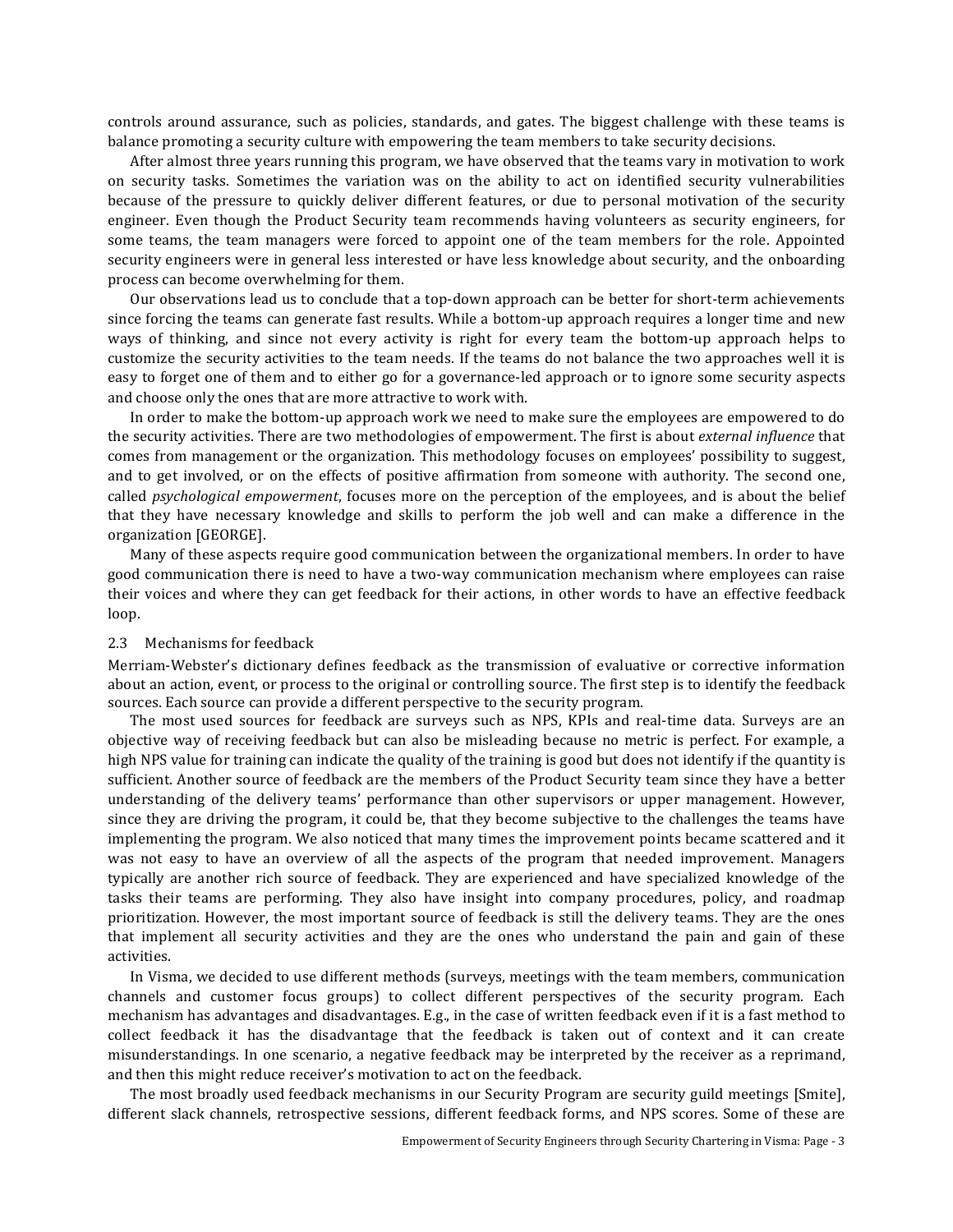controls around assurance, such as policies, standards, and gates. The biggest challenge with these teams is balance promoting a security culture with empowering the team members to take security decisions.

After almost three years running this program, we have observed that the teams vary in motivation to work on security tasks. Sometimes the variation was on the ability to act on identified security vulnerabilities because of the pressure to quickly deliver different features, or due to personal motivation of the security engineer. Even though the Product Security team recommends having volunteers as security engineers, for some teams, the team managers were forced to appoint one of the team members for the role. Appointed security engineers were in general less interested or have less knowledge about security, and the onboarding process can become overwhelming for them.

Our observations lead us to conclude that a top-down approach can be better for short-term achievements since forcing the teams can generate fast results. While a bottom-up approach requires a longer time and new ways of thinking, and since not every activity is right for every team the bottom-up approach helps to customize the security activities to the team needs. If the teams do not balance the two approaches well it is easy to forget one of them and to either go for a governance-led approach or to ignore some security aspects and choose only the ones that are more attractive to work with.

In order to make the bottom-up approach work we need to make sure the employees are empowered to do the security activities. There are two methodologies of empowerment. The first is about external influence that comes from management or the organization. This methodology focuses on employees' possibility to suggest, and to get involved, or on the effects of positive affirmation from someone with authority. The second one, called *psychological empowerment*, focuses more on the perception of the employees, and is about the belief that they have necessary knowledge and skills to perform the job well and can make a difference in the organization [GEORGE].

Many of these aspects require good communication between the organizational members. In order to have good communication there is need to have a two-way communication mechanism where employees can raise their voices and where they can get feedback for their actions, in other words to have an effective feedback loop.

#### 2.3 Mechanisms for feedback

Merriam-Webster's dictionary defines feedback as the transmission of evaluative or corrective information about an action, event, or process to the original or controlling source. The first step is to identify the feedback sources. Each source can provide a different perspective to the security program.

The most used sources for feedback are surveys such as NPS, KPIs and real-time data. Surveys are an objective way of receiving feedback but can also be misleading because no metric is perfect. For example, a high NPS value for training can indicate the quality of the training is good but does not identify if the quantity is sufficient. Another source of feedback are the members of the Product Security team since they have a better understanding of the delivery teams' performance than other supervisors or upper management. However, since they are driving the program, it could be, that they become subjective to the challenges the teams have implementing the program. We also noticed that many times the improvement points became scattered and it was not easy to have an overview of all the aspects of the program that needed improvement. Managers typically are another rich source of feedback. They are experienced and have specialized knowledge of the tasks their teams are performing. They also have insight into company procedures, policy, and roadmap prioritization. However, the most important source of feedback is still the delivery teams. They are the ones that implement all security activities and they are the ones who understand the pain and gain of these activities.

In Visma, we decided to use different methods (surveys, meetings with the team members, communication channels and customer focus groups) to collect different perspectives of the security program. Each mechanism has advantages and disadvantages. E.g., in the case of written feedback even if it is a fast method to collect feedback it has the disadvantage that the feedback is taken out of context and it can create misunderstandings. In one scenario, a negative feedback may be interpreted by the receiver as a reprimand, and then this might reduce receiver's motivation to act on the feedback.

The most broadly used feedback mechanisms in our Security Program are security guild meetings [Smite], different slack channels, retrospective sessions, different feedback forms, and NPS scores. Some of these are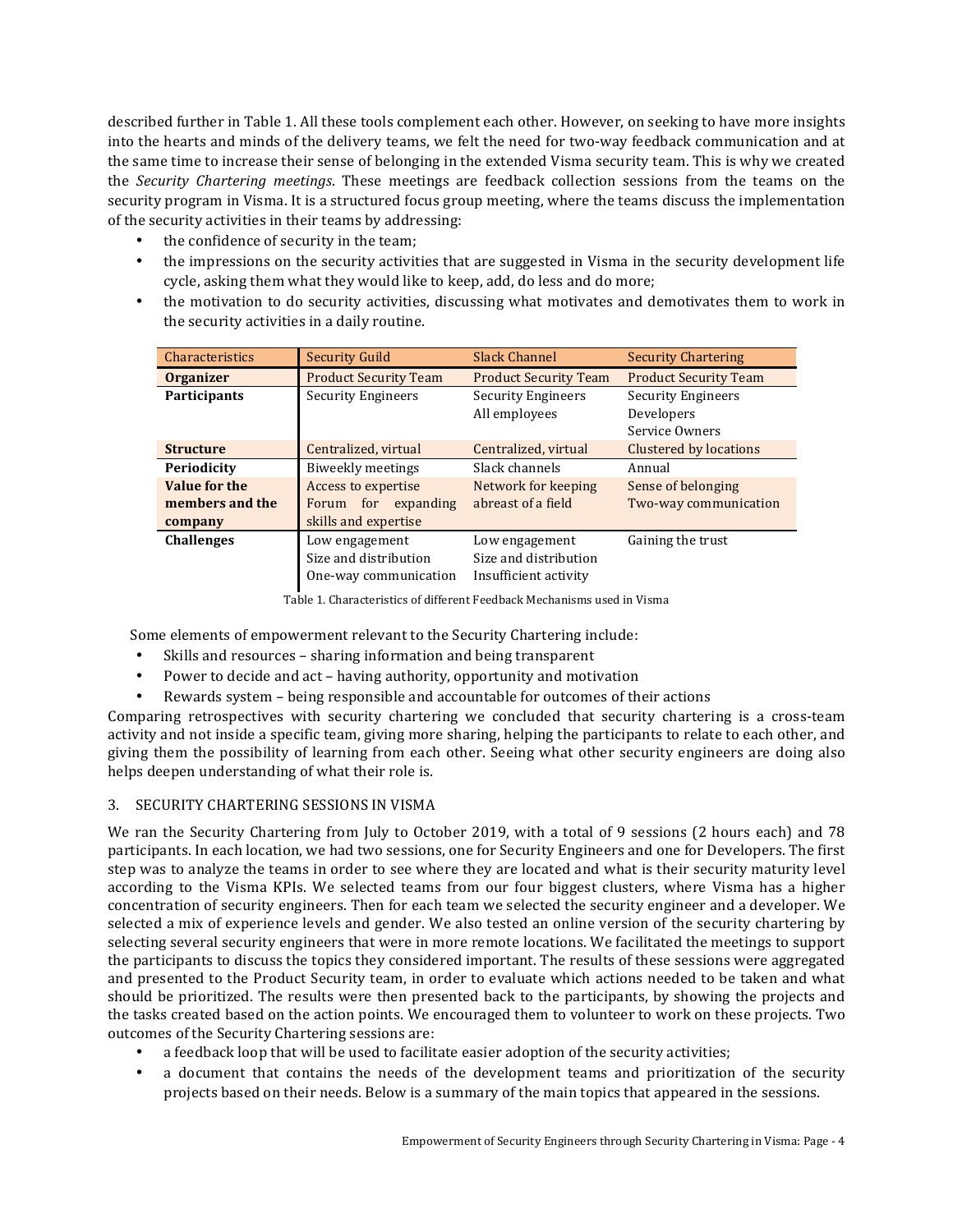described further in Table 1. All these tools complement each other. However, on seeking to have more insights into the hearts and minds of the delivery teams, we felt the need for two-way feedback communication and at the same time to increase their sense of belonging in the extended Visma security team. This is why we created the *Security Chartering meetings*. These meetings are feedback collection sessions from the teams on the security program in Visma. It is a structured focus group meeting, where the teams discuss the implementation of the security activities in their teams by addressing:

- the confidence of security in the team;
- the impressions on the security activities that are suggested in Visma in the security development life cycle, asking them what they would like to keep, add, do less and do more;
- the motivation to do security activities, discussing what motivates and demotivates them to work in the security activities in a daily routine.

| Characteristics     | <b>Security Guild</b>        | <b>Slack Channel</b>         | <b>Security Chartering</b>    |
|---------------------|------------------------------|------------------------------|-------------------------------|
| <b>Organizer</b>    | <b>Product Security Team</b> | <b>Product Security Team</b> | <b>Product Security Team</b>  |
| <b>Participants</b> | <b>Security Engineers</b>    | <b>Security Engineers</b>    | <b>Security Engineers</b>     |
|                     |                              | All employees                | Developers                    |
|                     |                              |                              | Service Owners                |
| <b>Structure</b>    | Centralized, virtual         | Centralized, virtual         | <b>Clustered by locations</b> |
| Periodicity         | Biweekly meetings            | Slack channels               | Annual                        |
| Value for the       | Access to expertise          | Network for keeping          | Sense of belonging            |
| members and the     | Forum for expanding          | abreast of a field           | Two-way communication         |
| company             | skills and expertise         |                              |                               |
| <b>Challenges</b>   | Low engagement               | Low engagement               | Gaining the trust             |
|                     | Size and distribution        | Size and distribution        |                               |
|                     | One-way communication        | Insufficient activity        |                               |

Table 1. Characteristics of different Feedback Mechanisms used in Visma

Some elements of empowerment relevant to the Security Chartering include:

- Skills and resources sharing information and being transparent
- Power to decide and act having authority, opportunity and motivation
- Rewards system being responsible and accountable for outcomes of their actions

Comparing retrospectives with security chartering we concluded that security chartering is a cross-team activity and not inside a specific team, giving more sharing, helping the participants to relate to each other, and giving them the possibility of learning from each other. Seeing what other security engineers are doing also helps deepen understanding of what their role is.

# 3. SECURITY CHARTERING SESSIONS IN VISMA

We ran the Security Chartering from July to October 2019, with a total of 9 sessions (2 hours each) and  $78$ participants. In each location, we had two sessions, one for Security Engineers and one for Developers. The first step was to analyze the teams in order to see where they are located and what is their security maturity level according to the Visma KPIs. We selected teams from our four biggest clusters, where Visma has a higher concentration of security engineers. Then for each team we selected the security engineer and a developer. We selected a mix of experience levels and gender. We also tested an online version of the security chartering by selecting several security engineers that were in more remote locations. We facilitated the meetings to support the participants to discuss the topics they considered important. The results of these sessions were aggregated and presented to the Product Security team, in order to evaluate which actions needed to be taken and what should be prioritized. The results were then presented back to the participants, by showing the projects and the tasks created based on the action points. We encouraged them to volunteer to work on these projects. Two outcomes of the Security Chartering sessions are:

- a feedback loop that will be used to facilitate easier adoption of the security activities;
- a document that contains the needs of the development teams and prioritization of the security projects based on their needs. Below is a summary of the main topics that appeared in the sessions.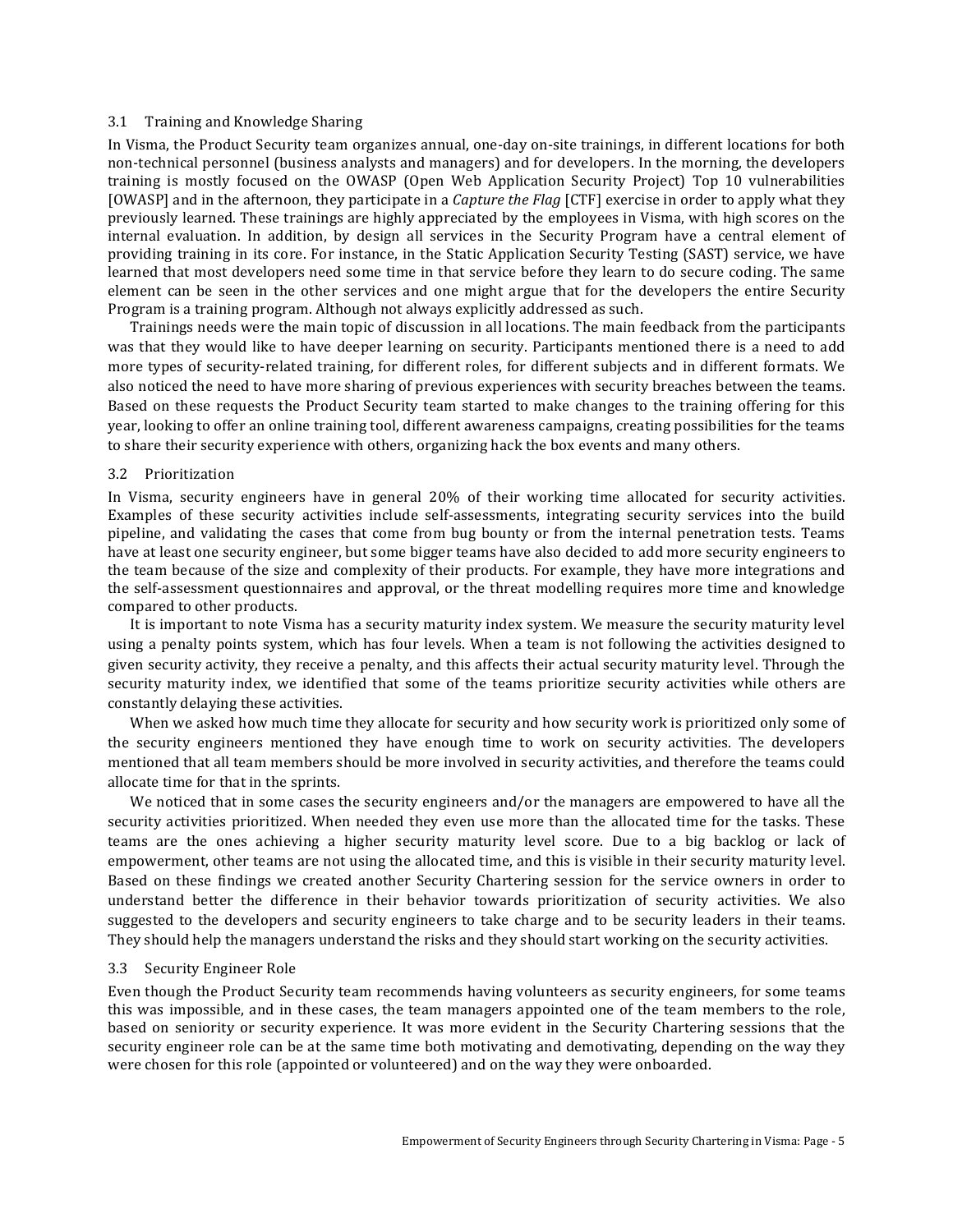# 3.1 Training and Knowledge Sharing

In Visma, the Product Security team organizes annual, one-day on-site trainings, in different locations for both non-technical personnel (business analysts and managers) and for developers. In the morning, the developers training is mostly focused on the OWASP (Open Web Application Security Project) Top 10 vulnerabilities [OWASP] and in the afternoon, they participate in a *Capture the Flag* [CTF] exercise in order to apply what they previously learned. These trainings are highly appreciated by the employees in Visma, with high scores on the internal evaluation. In addition, by design all services in the Security Program have a central element of providing training in its core. For instance, in the Static Application Security Testing (SAST) service, we have learned that most developers need some time in that service before they learn to do secure coding. The same element can be seen in the other services and one might argue that for the developers the entire Security Program is a training program. Although not always explicitly addressed as such.

Trainings needs were the main topic of discussion in all locations. The main feedback from the participants was that they would like to have deeper learning on security. Participants mentioned there is a need to add more types of security-related training, for different roles, for different subjects and in different formats. We also noticed the need to have more sharing of previous experiences with security breaches between the teams. Based on these requests the Product Security team started to make changes to the training offering for this year, looking to offer an online training tool, different awareness campaigns, creating possibilities for the teams to share their security experience with others, organizing hack the box events and many others.

# 3.2 Prioritization

In Visma, security engineers have in general 20% of their working time allocated for security activities. Examples of these security activities include self-assessments, integrating security services into the build pipeline, and validating the cases that come from bug bounty or from the internal penetration tests. Teams have at least one security engineer, but some bigger teams have also decided to add more security engineers to the team because of the size and complexity of their products. For example, they have more integrations and the self-assessment questionnaires and approval, or the threat modelling requires more time and knowledge compared to other products.

It is important to note Visma has a security maturity index system. We measure the security maturity level using a penalty points system, which has four levels. When a team is not following the activities designed to given security activity, they receive a penalty, and this affects their actual security maturity level. Through the security maturity index, we identified that some of the teams prioritize security activities while others are constantly delaying these activities.

When we asked how much time they allocate for security and how security work is prioritized only some of the security engineers mentioned they have enough time to work on security activities. The developers mentioned that all team members should be more involved in security activities, and therefore the teams could allocate time for that in the sprints.

We noticed that in some cases the security engineers and/or the managers are empowered to have all the security activities prioritized. When needed they even use more than the allocated time for the tasks. These teams are the ones achieving a higher security maturity level score. Due to a big backlog or lack of empowerment, other teams are not using the allocated time, and this is visible in their security maturity level. Based on these findings we created another Security Chartering session for the service owners in order to understand better the difference in their behavior towards prioritization of security activities. We also suggested to the developers and security engineers to take charge and to be security leaders in their teams. They should help the managers understand the risks and they should start working on the security activities.

#### 3.3 Security Engineer Role

Even though the Product Security team recommends having volunteers as security engineers, for some teams this was impossible, and in these cases, the team managers appointed one of the team members to the role, based on seniority or security experience. It was more evident in the Security Chartering sessions that the security engineer role can be at the same time both motivating and demotivating, depending on the way they were chosen for this role (appointed or volunteered) and on the way they were onboarded.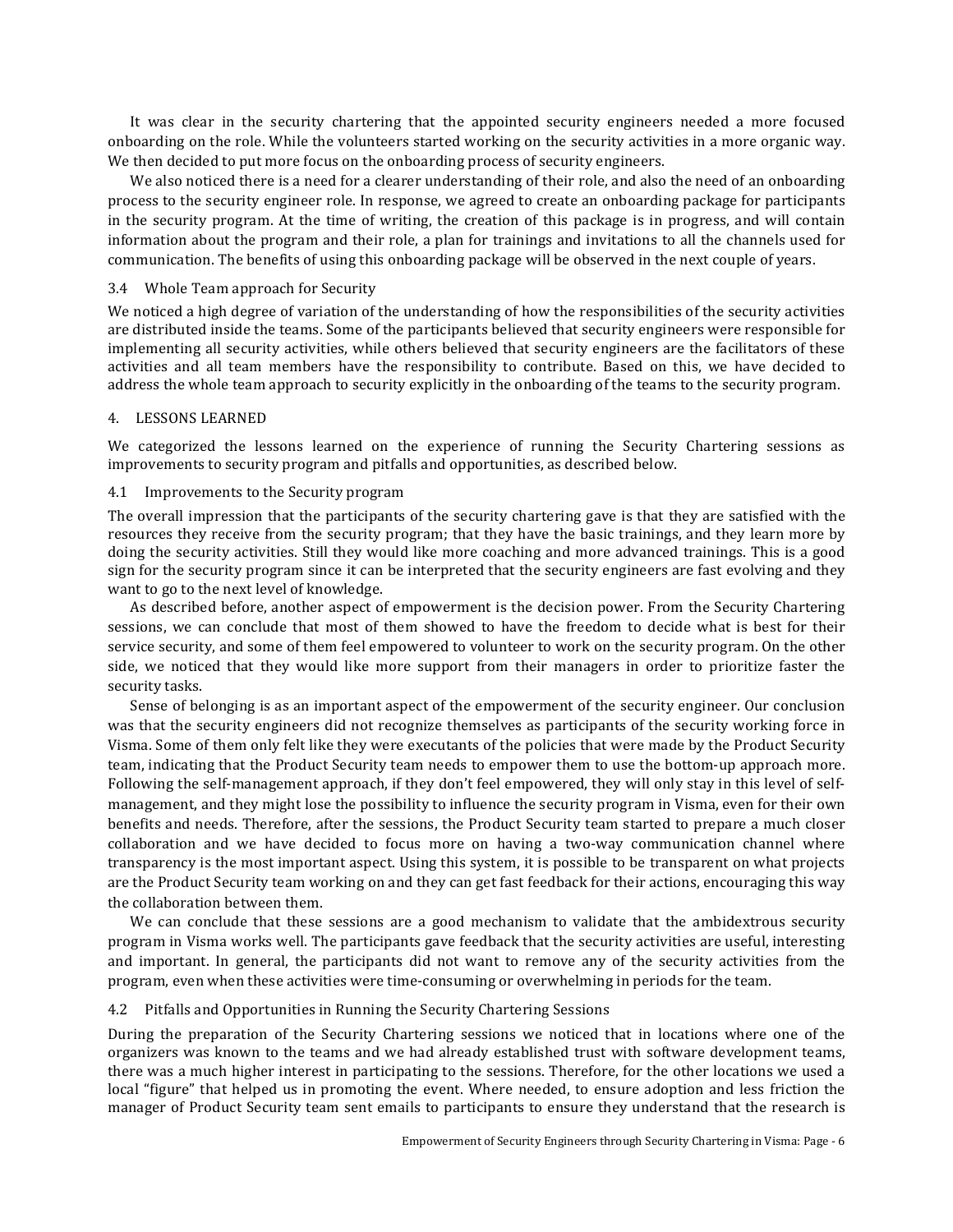It was clear in the security chartering that the appointed security engineers needed a more focused onboarding on the role. While the volunteers started working on the security activities in a more organic way. We then decided to put more focus on the onboarding process of security engineers.

We also noticed there is a need for a clearer understanding of their role, and also the need of an onboarding process to the security engineer role. In response, we agreed to create an onboarding package for participants in the security program. At the time of writing, the creation of this package is in progress, and will contain information about the program and their role, a plan for trainings and invitations to all the channels used for communication. The benefits of using this onboarding package will be observed in the next couple of years.

# 3.4 Whole Team approach for Security

We noticed a high degree of variation of the understanding of how the responsibilities of the security activities are distributed inside the teams. Some of the participants believed that security engineers were responsible for implementing all security activities, while others believed that security engineers are the facilitators of these activities and all team members have the responsibility to contribute. Based on this, we have decided to address the whole team approach to security explicitly in the onboarding of the teams to the security program.

# 4. LESSONS LEARNED

We categorized the lessons learned on the experience of running the Security Chartering sessions as improvements to security program and pitfalls and opportunities, as described below.

# 4.1 Improvements to the Security program

The overall impression that the participants of the security chartering gave is that they are satisfied with the resources they receive from the security program; that they have the basic trainings, and they learn more by doing the security activities. Still they would like more coaching and more advanced trainings. This is a good sign for the security program since it can be interpreted that the security engineers are fast evolving and they want to go to the next level of knowledge.

As described before, another aspect of empowerment is the decision power. From the Security Chartering sessions, we can conclude that most of them showed to have the freedom to decide what is best for their service security, and some of them feel empowered to volunteer to work on the security program. On the other side, we noticed that they would like more support from their managers in order to prioritize faster the security tasks.

Sense of belonging is as an important aspect of the empowerment of the security engineer. Our conclusion was that the security engineers did not recognize themselves as participants of the security working force in Visma. Some of them only felt like they were executants of the policies that were made by the Product Security team, indicating that the Product Security team needs to empower them to use the bottom-up approach more. Following the self-management approach, if they don't feel empowered, they will only stay in this level of selfmanagement, and they might lose the possibility to influence the security program in Visma, even for their own benefits and needs. Therefore, after the sessions, the Product Security team started to prepare a much closer collaboration and we have decided to focus more on having a two-way communication channel where transparency is the most important aspect. Using this system, it is possible to be transparent on what projects are the Product Security team working on and they can get fast feedback for their actions, encouraging this way the collaboration between them.

We can conclude that these sessions are a good mechanism to validate that the ambidextrous security program in Visma works well. The participants gave feedback that the security activities are useful, interesting and important. In general, the participants did not want to remove any of the security activities from the program, even when these activities were time-consuming or overwhelming in periods for the team.

# 4.2 Pitfalls and Opportunities in Running the Security Chartering Sessions

During the preparation of the Security Chartering sessions we noticed that in locations where one of the organizers was known to the teams and we had already established trust with software development teams, there was a much higher interest in participating to the sessions. Therefore, for the other locations we used a local "figure" that helped us in promoting the event. Where needed, to ensure adoption and less friction the manager of Product Security team sent emails to participants to ensure they understand that the research is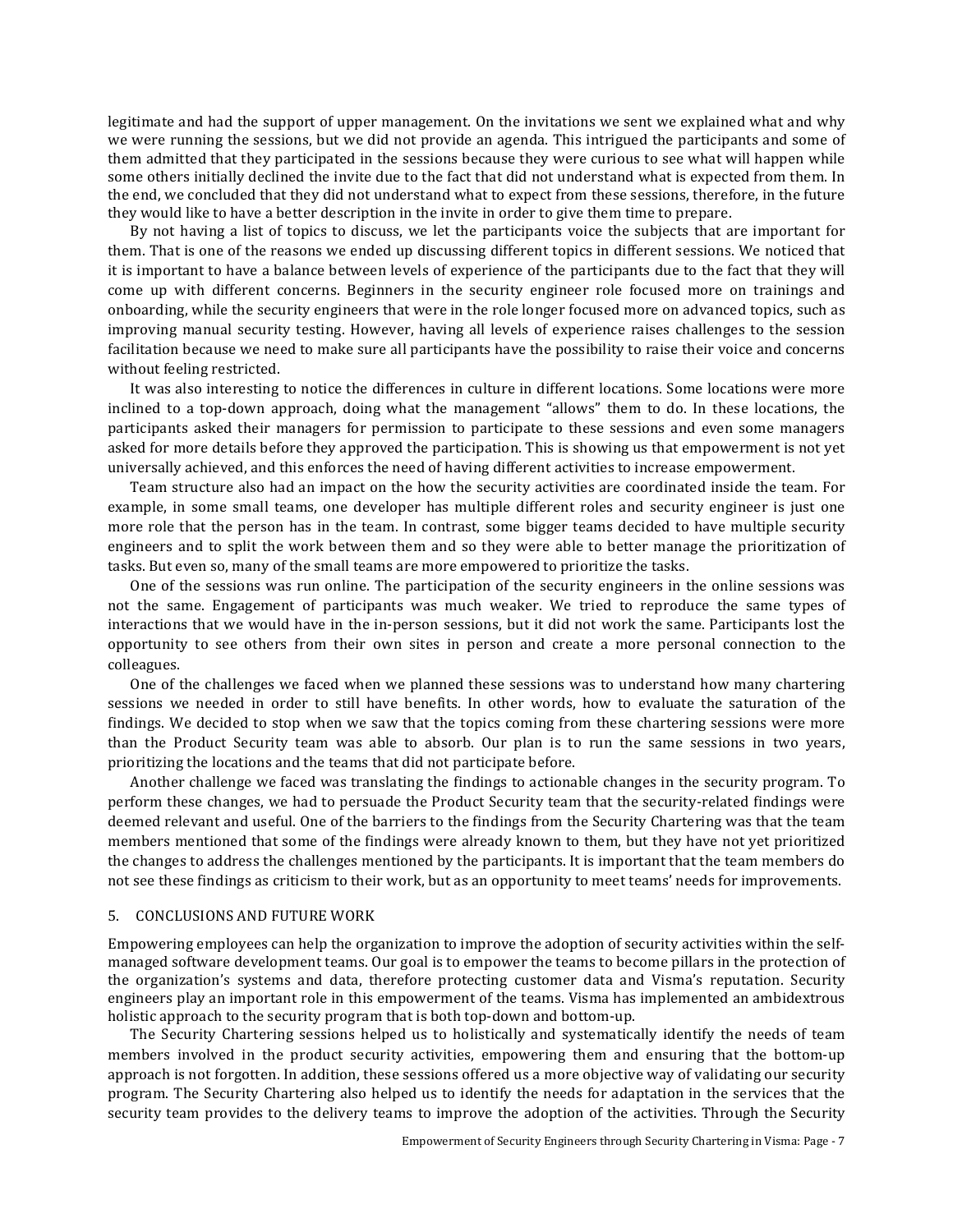legitimate and had the support of upper management. On the invitations we sent we explained what and why we were running the sessions, but we did not provide an agenda. This intrigued the participants and some of them admitted that they participated in the sessions because they were curious to see what will happen while some others initially declined the invite due to the fact that did not understand what is expected from them. In the end, we concluded that they did not understand what to expect from these sessions, therefore, in the future they would like to have a better description in the invite in order to give them time to prepare.

By not having a list of topics to discuss, we let the participants voice the subjects that are important for them. That is one of the reasons we ended up discussing different topics in different sessions. We noticed that it is important to have a balance between levels of experience of the participants due to the fact that they will come up with different concerns. Beginners in the security engineer role focused more on trainings and onboarding, while the security engineers that were in the role longer focused more on advanced topics, such as improving manual security testing. However, having all levels of experience raises challenges to the session facilitation because we need to make sure all participants have the possibility to raise their voice and concerns without feeling restricted.

It was also interesting to notice the differences in culture in different locations. Some locations were more inclined to a top-down approach, doing what the management "allows" them to do. In these locations, the participants asked their managers for permission to participate to these sessions and even some managers asked for more details before they approved the participation. This is showing us that empowerment is not yet universally achieved, and this enforces the need of having different activities to increase empowerment.

Team structure also had an impact on the how the security activities are coordinated inside the team. For example, in some small teams, one developer has multiple different roles and security engineer is just one more role that the person has in the team. In contrast, some bigger teams decided to have multiple security engineers and to split the work between them and so they were able to better manage the prioritization of tasks. But even so, many of the small teams are more empowered to prioritize the tasks.

One of the sessions was run online. The participation of the security engineers in the online sessions was not the same. Engagement of participants was much weaker. We tried to reproduce the same types of interactions that we would have in the in-person sessions, but it did not work the same. Participants lost the opportunity to see others from their own sites in person and create a more personal connection to the colleagues.

One of the challenges we faced when we planned these sessions was to understand how many chartering sessions we needed in order to still have benefits. In other words, how to evaluate the saturation of the findings. We decided to stop when we saw that the topics coming from these chartering sessions were more than the Product Security team was able to absorb. Our plan is to run the same sessions in two years, prioritizing the locations and the teams that did not participate before.

Another challenge we faced was translating the findings to actionable changes in the security program. To perform these changes, we had to persuade the Product Security team that the security-related findings were deemed relevant and useful. One of the barriers to the findings from the Security Chartering was that the team members mentioned that some of the findings were already known to them, but they have not vet prioritized the changes to address the challenges mentioned by the participants. It is important that the team members do not see these findings as criticism to their work, but as an opportunity to meet teams' needs for improvements.

# 5. CONCLUSIONS AND FUTURE WORK

Empowering employees can help the organization to improve the adoption of security activities within the selfmanaged software development teams. Our goal is to empower the teams to become pillars in the protection of the organization's systems and data, therefore protecting customer data and Visma's reputation. Security engineers play an important role in this empowerment of the teams. Visma has implemented an ambidextrous holistic approach to the security program that is both top-down and bottom-up.

The Security Chartering sessions helped us to holistically and systematically identify the needs of team members involved in the product security activities, empowering them and ensuring that the bottom-up approach is not forgotten. In addition, these sessions offered us a more objective way of validating our security program. The Security Chartering also helped us to identify the needs for adaptation in the services that the security team provides to the delivery teams to improve the adoption of the activities. Through the Security